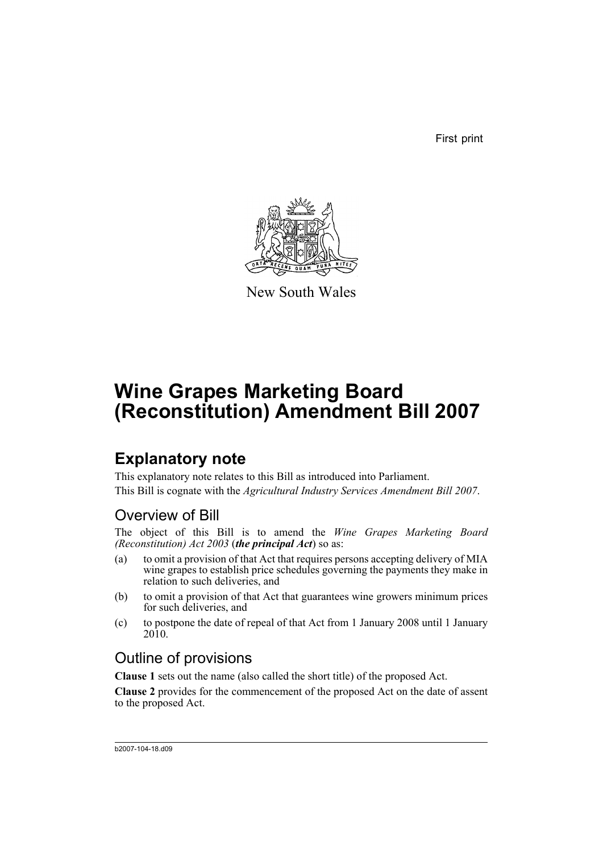First print



New South Wales

# **Wine Grapes Marketing Board (Reconstitution) Amendment Bill 2007**

## **Explanatory note**

This explanatory note relates to this Bill as introduced into Parliament. This Bill is cognate with the *Agricultural Industry Services Amendment Bill 2007*.

## Overview of Bill

The object of this Bill is to amend the *Wine Grapes Marketing Board (Reconstitution) Act 2003* (*the principal Act*) so as:

- (a) to omit a provision of that Act that requires persons accepting delivery of MIA wine grapes to establish price schedules governing the payments they make in relation to such deliveries, and
- (b) to omit a provision of that Act that guarantees wine growers minimum prices for such deliveries, and
- (c) to postpone the date of repeal of that Act from 1 January 2008 until 1 January 2010.

## Outline of provisions

**Clause 1** sets out the name (also called the short title) of the proposed Act.

**Clause 2** provides for the commencement of the proposed Act on the date of assent to the proposed Act.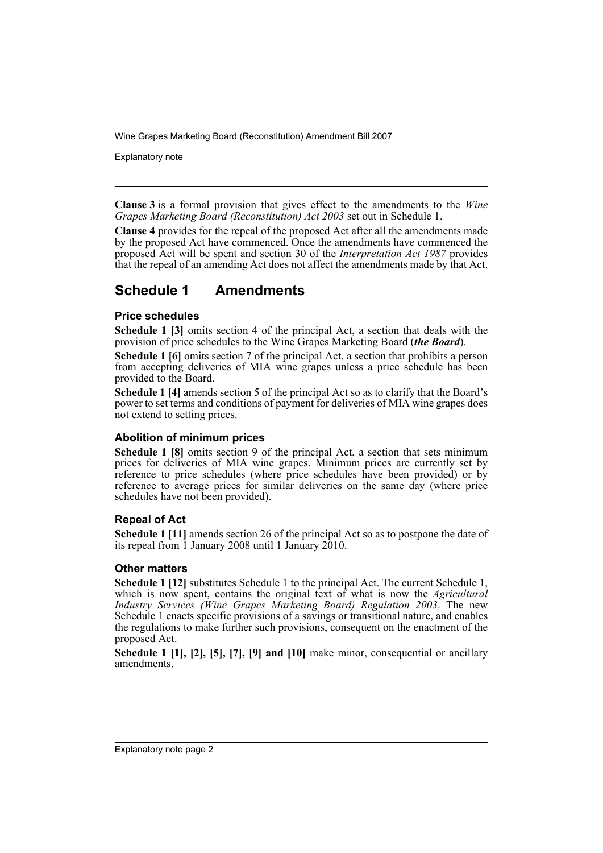Explanatory note

**Clause 3** is a formal provision that gives effect to the amendments to the *Wine Grapes Marketing Board (Reconstitution) Act 2003* set out in Schedule 1.

**Clause 4** provides for the repeal of the proposed Act after all the amendments made by the proposed Act have commenced. Once the amendments have commenced the proposed Act will be spent and section 30 of the *Interpretation Act 1987* provides that the repeal of an amending Act does not affect the amendments made by that Act.

## **Schedule 1 Amendments**

### **Price schedules**

**Schedule 1 [3]** omits section 4 of the principal Act, a section that deals with the provision of price schedules to the Wine Grapes Marketing Board (*the Board*).

**Schedule 1 [6]** omits section 7 of the principal Act, a section that prohibits a person from accepting deliveries of MIA wine grapes unless a price schedule has been provided to the Board.

**Schedule 1 [4]** amends section 5 of the principal Act so as to clarify that the Board's power to set terms and conditions of payment for deliveries of MIA wine grapes does not extend to setting prices.

### **Abolition of minimum prices**

**Schedule 1 [8]** omits section 9 of the principal Act, a section that sets minimum prices for deliveries of MIA wine grapes. Minimum prices are currently set by reference to price schedules (where price schedules have been provided) or by reference to average prices for similar deliveries on the same day (where price schedules have not been provided).

### **Repeal of Act**

**Schedule 1 [11]** amends section 26 of the principal Act so as to postpone the date of its repeal from 1 January 2008 until 1 January 2010.

### **Other matters**

**Schedule 1 [12]** substitutes Schedule 1 to the principal Act. The current Schedule 1, which is now spent, contains the original text of what is now the *Agricultural Industry Services (Wine Grapes Marketing Board) Regulation 2003*. The new Schedule 1 enacts specific provisions of a savings or transitional nature, and enables the regulations to make further such provisions, consequent on the enactment of the proposed Act.

**Schedule 1 [1], [2], [5], [7], [9] and [10]** make minor, consequential or ancillary amendments.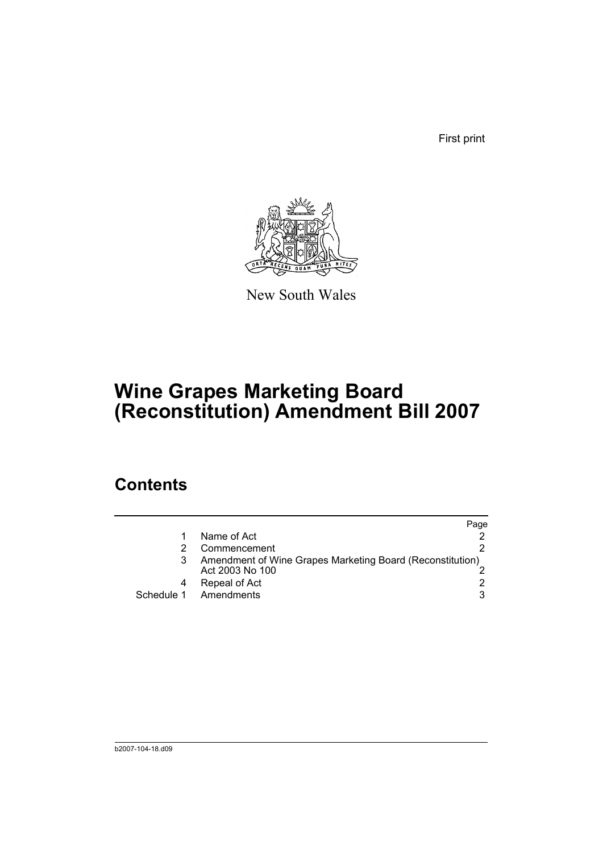First print



New South Wales

# **Wine Grapes Marketing Board (Reconstitution) Amendment Bill 2007**

## **Contents**

|                                                                              | Page |
|------------------------------------------------------------------------------|------|
| Name of Act                                                                  |      |
| Commencement                                                                 |      |
| Amendment of Wine Grapes Marketing Board (Reconstitution)<br>Act 2003 No 100 |      |
| Repeal of Act                                                                |      |
| Schedule 1 Amendments                                                        | 3    |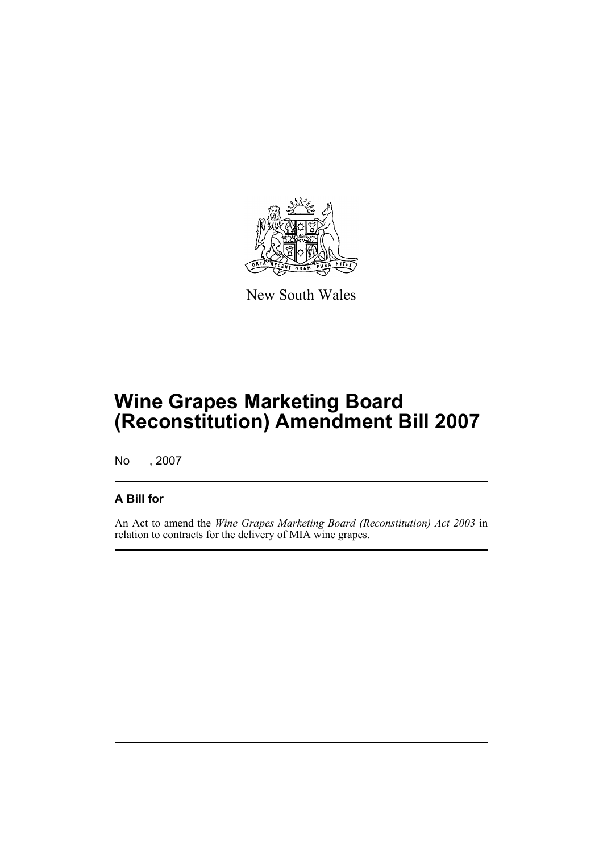

New South Wales

## **Wine Grapes Marketing Board (Reconstitution) Amendment Bill 2007**

No , 2007

### **A Bill for**

An Act to amend the *Wine Grapes Marketing Board (Reconstitution) Act 2003* in relation to contracts for the delivery of MIA wine grapes.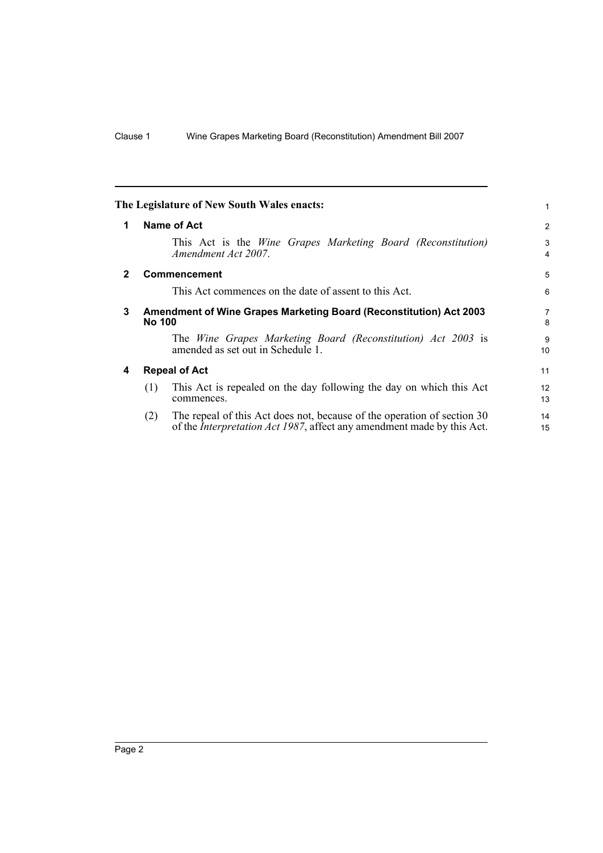<span id="page-5-3"></span><span id="page-5-2"></span><span id="page-5-1"></span><span id="page-5-0"></span>

| 1                   |
|---------------------|
| 2                   |
| 3<br>4              |
| 5                   |
| 6                   |
| $\overline{7}$<br>8 |
| 9<br>10             |
| 11                  |
| 12<br>13            |
| 14<br>15            |
|                     |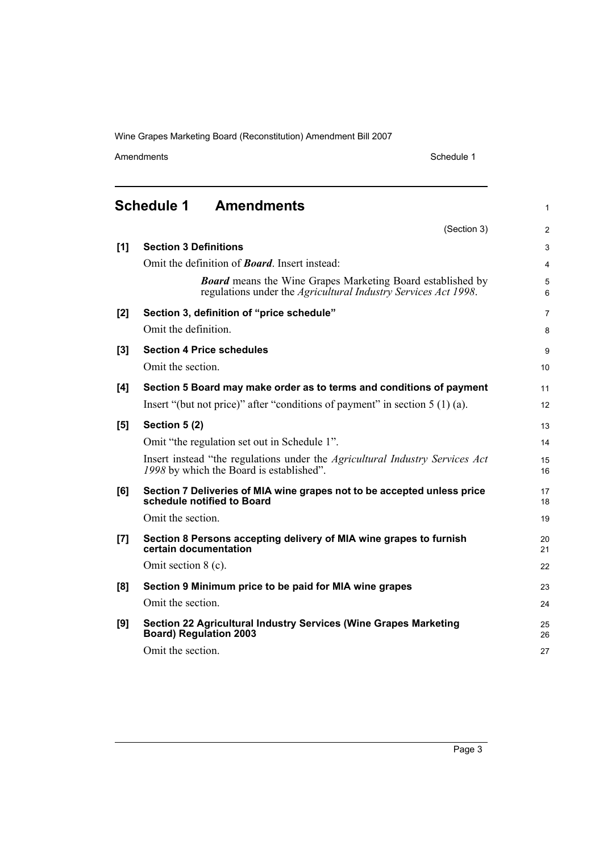Amendments Schedule 1

1

<span id="page-6-0"></span>**Schedule 1 Amendments**

|     | (Section 3)                                                                                                                         | 2              |
|-----|-------------------------------------------------------------------------------------------------------------------------------------|----------------|
| [1] | <b>Section 3 Definitions</b>                                                                                                        | 3              |
|     | Omit the definition of <b>Board</b> . Insert instead:                                                                               | $\overline{4}$ |
|     | <b>Board</b> means the Wine Grapes Marketing Board established by<br>regulations under the Agricultural Industry Services Act 1998. | 5<br>6         |
| [2] | Section 3, definition of "price schedule"                                                                                           | $\overline{7}$ |
|     | Omit the definition.                                                                                                                | 8              |
| [3] | <b>Section 4 Price schedules</b>                                                                                                    | 9              |
|     | Omit the section.                                                                                                                   | 10             |
| [4] | Section 5 Board may make order as to terms and conditions of payment                                                                | 11             |
|     | Insert "(but not price)" after "conditions of payment" in section $5(1)(a)$ .                                                       | 12             |
| [5] | Section 5 (2)                                                                                                                       | 13             |
|     | Omit "the regulation set out in Schedule 1".                                                                                        | 14             |
|     | Insert instead "the regulations under the <i>Agricultural Industry Services Act</i><br>1998 by which the Board is established".     | 15<br>16       |
| [6] | Section 7 Deliveries of MIA wine grapes not to be accepted unless price<br>schedule notified to Board                               | 17<br>18       |
|     | Omit the section.                                                                                                                   | 19             |
| [7] | Section 8 Persons accepting delivery of MIA wine grapes to furnish<br>certain documentation                                         | 20<br>21       |
|     | Omit section $8$ (c).                                                                                                               | 22             |
| [8] | Section 9 Minimum price to be paid for MIA wine grapes                                                                              | 23             |
|     | Omit the section.                                                                                                                   | 24             |
| [9] | Section 22 Agricultural Industry Services (Wine Grapes Marketing<br><b>Board) Regulation 2003</b>                                   | 25<br>26       |
|     | Omit the section.                                                                                                                   | 27             |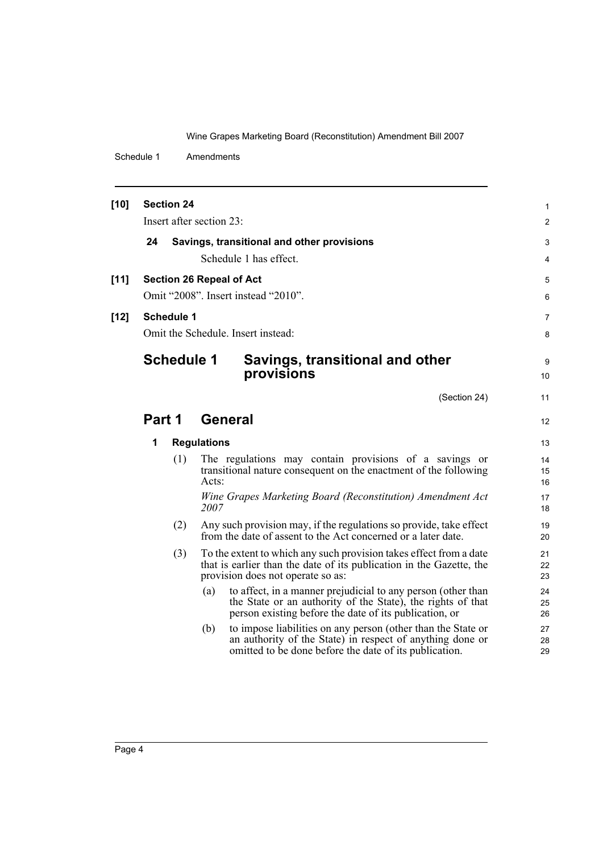Schedule 1 Amendments

| $[10]$ | <b>Section 24</b>                                |                    |                                                                                                                                            |                  |  |  |
|--------|--------------------------------------------------|--------------------|--------------------------------------------------------------------------------------------------------------------------------------------|------------------|--|--|
|        | Insert after section 23:                         |                    |                                                                                                                                            |                  |  |  |
|        | 24<br>Savings, transitional and other provisions |                    |                                                                                                                                            |                  |  |  |
|        |                                                  |                    | Schedule 1 has effect.                                                                                                                     | $\mathsf 3$<br>4 |  |  |
|        |                                                  |                    |                                                                                                                                            | 5                |  |  |
| $[11]$ | <b>Section 26 Repeal of Act</b>                  |                    |                                                                                                                                            |                  |  |  |
|        | Omit "2008". Insert instead "2010".              |                    |                                                                                                                                            |                  |  |  |
| $[12]$ | <b>Schedule 1</b>                                |                    |                                                                                                                                            |                  |  |  |
|        | Omit the Schedule. Insert instead:               |                    |                                                                                                                                            |                  |  |  |
|        | <b>Schedule 1</b>                                |                    | Savings, transitional and other                                                                                                            |                  |  |  |
|        |                                                  |                    | provisions                                                                                                                                 | 9<br>10          |  |  |
|        |                                                  |                    |                                                                                                                                            |                  |  |  |
|        |                                                  |                    | (Section 24)                                                                                                                               | 11               |  |  |
|        | Part 1                                           |                    | <b>General</b>                                                                                                                             | 12               |  |  |
|        | 1                                                | <b>Regulations</b> |                                                                                                                                            | 13               |  |  |
|        | (1)                                              |                    | The regulations may contain provisions of a savings or                                                                                     | 14               |  |  |
|        |                                                  | Acts:              | transitional nature consequent on the enactment of the following                                                                           | 15               |  |  |
|        |                                                  |                    | Wine Grapes Marketing Board (Reconstitution) Amendment Act                                                                                 | 16<br>17         |  |  |
|        |                                                  | 2007               |                                                                                                                                            | 18               |  |  |
|        | (2)                                              |                    | Any such provision may, if the regulations so provide, take effect                                                                         | 19               |  |  |
|        |                                                  |                    | from the date of assent to the Act concerned or a later date.                                                                              | 20               |  |  |
|        | (3)                                              |                    | To the extent to which any such provision takes effect from a date<br>that is earlier than the date of its publication in the Gazette, the | 21<br>22         |  |  |
|        |                                                  |                    | provision does not operate so as:                                                                                                          | 23               |  |  |
|        |                                                  | (a)                | to affect, in a manner prejudicial to any person (other than                                                                               | 24               |  |  |
|        |                                                  |                    | the State or an authority of the State), the rights of that<br>person existing before the date of its publication, or                      | 25<br>26         |  |  |
|        |                                                  | (b)                | to impose liabilities on any person (other than the State or                                                                               | 27               |  |  |
|        |                                                  |                    | an authority of the State) in respect of anything done or                                                                                  | 28               |  |  |
|        |                                                  |                    | omitted to be done before the date of its publication.                                                                                     | 29               |  |  |